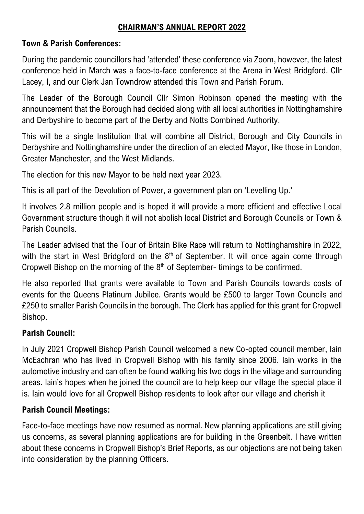#### **CHAIRMAN'S ANNUAL REPORT 2022**

#### **Town & Parish Conferences:**

During the pandemic councillors had 'attended' these conference via Zoom, however, the latest conference held in March was a face-to-face conference at the Arena in West Bridgford. Cllr Lacey, I, and our Clerk Jan Towndrow attended this Town and Parish Forum.

The Leader of the Borough Council Cllr Simon Robinson opened the meeting with the announcement that the Borough had decided along with all local authorities in Nottinghamshire and Derbyshire to become part of the Derby and Notts Combined Authority.

This will be a single Institution that will combine all District, Borough and City Councils in Derbyshire and Nottinghamshire under the direction of an elected Mayor, like those in London, Greater Manchester, and the West Midlands.

The election for this new Mayor to be held next year 2023.

This is all part of the Devolution of Power, a government plan on 'Levelling Up.'

It involves 2.8 million people and is hoped it will provide a more efficient and effective Local Government structure though it will not abolish local District and Borough Councils or Town & Parish Councils.

The Leader advised that the Tour of Britain Bike Race will return to Nottinghamshire in 2022, with the start in West Bridgford on the  $8<sup>th</sup>$  of September. It will once again come through Cropwell Bishop on the morning of the  $8<sup>th</sup>$  of September- timings to be confirmed.

He also reported that grants were available to Town and Parish Councils towards costs of events for the Queens Platinum Jubilee. Grants would be £500 to larger Town Councils and £250 to smaller Parish Councils in the borough. The Clerk has applied for this grant for Cropwell Bishop.

### **Parish Council:**

In July 2021 Cropwell Bishop Parish Council welcomed a new Co-opted council member, Iain McEachran who has lived in Cropwell Bishop with his family since 2006. Iain works in the automotive industry and can often be found walking his two dogs in the village and surrounding areas. Iain's hopes when he joined the council are to help keep our village the special place it is. Iain would love for all Cropwell Bishop residents to look after our village and cherish it

### **Parish Council Meetings:**

Face-to-face meetings have now resumed as normal. New planning applications are still giving us concerns, as several planning applications are for building in the Greenbelt. I have written about these concerns in Cropwell Bishop's Brief Reports, as our objections are not being taken into consideration by the planning Officers.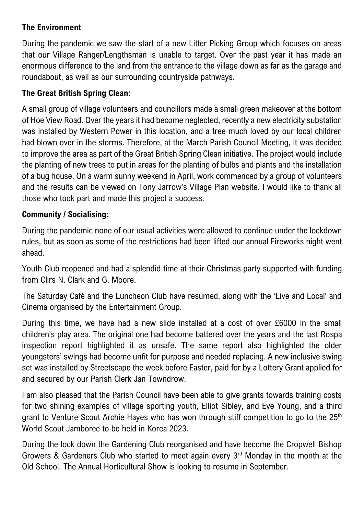## **The Environment**

During the pandemic we saw the start of a new Litter Picking Group which focuses on areas that our Village Ranger/Lengthsman is unable to target. Over the past year it has made an enormous difference to the land from the entrance to the village down as far as the garage and roundabout, as well as our surrounding countryside pathways.

## **The Great British Spring Clean:**

A small group of village volunteers and councillors made a small green makeover at the bottom of Hoe View Road. Over the years it had become neglected, recently a new electricity substation was installed by Western Power in this location, and a tree much loved by our local children had blown over in the storms. Therefore, at the March Parish Council Meeting, it was decided to improve the area as part of the Great British Spring Clean initiative. The project would include the planting of new trees to put in areas for the planting of bulbs and plants and the installation of a bug house. On a warm sunny weekend in April, work commenced by a group of volunteers and the results can be viewed on Tony Jarrow's Village Plan website. I would like to thank all those who took part and made this project a success.

### **Community / Socialising:**

During the pandemic none of our usual activities were allowed to continue under the lockdown rules, but as soon as some of the restrictions had been lifted our annual Fireworks night went ahead.

Youth Club reopened and had a splendid time at their Christmas party supported with funding from Cllrs N. Clark and G. Moore.

The Saturday Café and the Luncheon Club have resumed, along with the 'Live and Local' and Cinema organised by the Entertainment Group.

During this time, we have had a new slide installed at a cost of over £6000 in the small children's play area. The original one had become battered over the years and the last Rospa inspection report highlighted it as unsafe. The same report also highlighted the older youngsters' swings had become unfit for purpose and needed replacing. A new inclusive swing set was installed by Streetscape the week before Easter, paid for by a Lottery Grant applied for and secured by our Parish Clerk Jan Towndrow.

I am also pleased that the Parish Council have been able to give grants towards training costs for two shining examples of village sporting youth, Elliot Sibley, and Eve Young, and a third grant to Venture Scout Archie Hayes who has won through stiff competition to go to the 25<sup>th</sup> World Scout Jamboree to be held in Korea 2023.

During the lock down the Gardening Club reorganised and have become the Cropwell Bishop Growers & Gardeners Club who started to meet again every 3<sup>rd</sup> Monday in the month at the Old School. The Annual Horticultural Show is looking to resume in September.